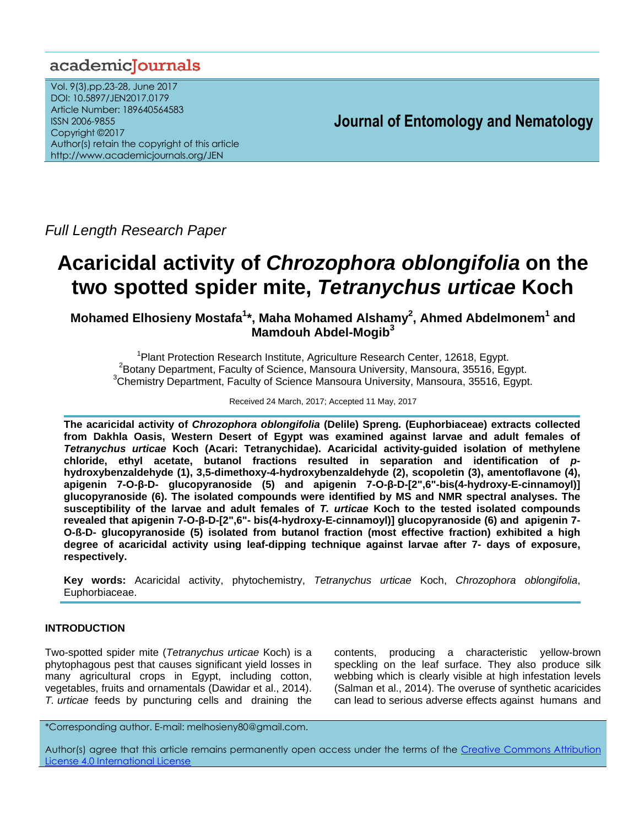# academicJournals

Vol. 9(3),pp.23-28, June 2017 DOI: 10.5897/JEN2017.0179 Article Number: 189640564583 ISSN 2006-9855 Copyright ©2017 Author(s) retain the copyright of this article http://www.academicjournals.org/JEN

**Journal of Entomology and Nematology**

*Full Length Research Paper*

# **Acaricidal activity of** *Chrozophora oblongifolia* **on the two spotted spider mite,** *Tetranychus urticae* **Koch**

**Mohamed Elhosieny Mostafa<sup>1</sup> \*, Maha Mohamed Alshamy<sup>2</sup> , Ahmed Abdelmonem<sup>1</sup> and Mamdouh Abdel-Mogib<sup>3</sup>**

<sup>1</sup>Plant Protection Research Institute, Agriculture Research Center, 12618, Egypt. <sup>2</sup>Botany Department, Faculty of Science, Mansoura University, Mansoura, 35516, Egypt.  $3$ Chemistry Department, Faculty of Science Mansoura University, Mansoura, 35516, Egypt.

Received 24 March, 2017; Accepted 11 May, 2017

**The acaricidal activity of** *Chrozophora oblongifolia* **(Delile) Spreng***.* **(Euphorbiaceae) extracts collected from Dakhla Oasis, Western Desert of Egypt was examined against larvae and adult females of**  *Tetranychus urticae* **Koch (Acari: Tetranychidae). Acaricidal activity-guided isolation of methylene chloride, ethyl acetate, butanol fractions resulted in separation and identification of** *p***hydroxybenzaldehyde (1), 3,5-dimethoxy-4-hydroxybenzaldehyde (2), scopoletin (3), amentoflavone (4), apigenin 7-O-β-D- glucopyranoside (5) and apigenin 7-O-β-D-[2",6"-bis(4-hydroxy-E-cinnamoyl)] glucopyranoside (6). The isolated compounds were identified by MS and NMR spectral analyses. The susceptibility of the larvae and adult females of** *T. urticae* **Koch to the tested isolated compounds revealed that apigenin 7-O-β-D-[2",6"- bis(4-hydroxy-E-cinnamoyl)] glucopyranoside (6) and apigenin 7- O-ß-D- glucopyranoside (5) isolated from butanol fraction (most effective fraction) exhibited a high degree of acaricidal activity using leaf-dipping technique against larvae after 7- days of exposure, respectively.**

**Key words:** Acaricidal activity, phytochemistry, *Tetranychus urticae* Koch, *Chrozophora oblongifolia*, Euphorbiaceae.

# **INTRODUCTION**

Two-spotted spider mite (*Tetranychus urticae* Koch) is a phytophagous pest that causes significant yield losses in many agricultural crops in Egypt, including cotton, vegetables, fruits and ornamentals (Dawidar et al., 2014). *T. urticae* feeds by puncturing cells and draining the

contents, producing a characteristic yellow-brown speckling on the leaf surface. They also produce silk webbing which is clearly visible at high infestation levels (Salman et al., 2014). The overuse of synthetic acaricides can lead to serious adverse effects against humans and

\*Corresponding author. E-mail: melhosieny80@gmail.com.

Author(s) agree that this article remains permanently open access under the terms of the Creative Commons Attribution [License 4.0 International License](http://creativecommons.org/licenses/by/4.0/deed.en_US)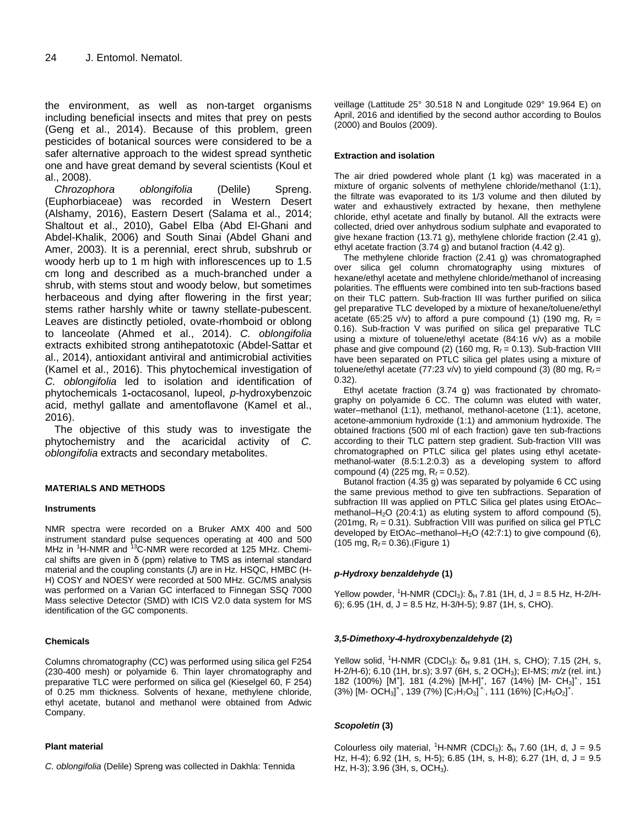the environment, as well as non-target organisms including beneficial insects and mites that prey on pests (Geng et al., 2014). Because of this problem, green pesticides of botanical sources were considered to be a safer alternative approach to the widest spread synthetic one and have great demand by several scientists (Koul et al., 2008).

*Chrozophora oblongifolia* (Delile) Spreng. (Euphorbiaceae) was recorded in Western Desert (Alshamy, 2016), Eastern Desert (Salama et al., 2014; Shaltout et al., 2010), Gabel Elba (Abd El-Ghani and Abdel-Khalik, 2006) and South Sinai (Abdel Ghani and Amer, 2003). It is a perennial, erect shrub, subshrub or woody herb up to 1 m high with inflorescences up to 1.5 cm long and described as a much-branched under a shrub, with stems stout and woody below, but sometimes herbaceous and dying after flowering in the first year; stems rather harshly white or tawny stellate-pubescent. Leaves are distinctly petioled, ovate-rhomboid or oblong to lanceolate (Ahmed et al., 2014). *C. oblongifolia*  extracts exhibited strong antihepatotoxic (Abdel-Sattar et al., 2014), antioxidant antiviral and antimicrobial activities (Kamel et al., 2016). This phytochemical investigation of *C. oblongifolia* led to isolation and identification of phytochemicals 1**-**octacosanol, lupeol, *p*-hydroxybenzoic acid, methyl gallate and amentoflavone (Kamel et al., 2016).

The objective of this study was to investigate the phytochemistry and the acaricidal activity of *C. oblongifolia* extracts and secondary metabolites.

# **MATERIALS AND METHODS**

### **Instruments**

NMR spectra were recorded on a Bruker AMX 400 and 500 instrument standard pulse sequences operating at 400 and 500 MHz in <sup>1</sup>H-NMR and <sup>13</sup>C-NMR were recorded at 125 MHz. Chemical shifts are given in δ (ppm) relative to TMS as internal standard material and the coupling constants (*J*) are in Hz. HSQC, HMBC (H-H) COSY and NOESY were recorded at 500 MHz. GC/MS analysis was performed on a Varian GC interfaced to Finnegan SSQ 7000 Mass selective Detector (SMD) with ICIS V2.0 data system for MS identification of the GC components.

### **Chemicals**

Columns chromatography (CC) was performed using silica gel F254 (230-400 mesh) or polyamide 6. Thin layer chromatography and preparative TLC were performed on silica gel (Kieselgel 60, F 254) of 0.25 mm thickness. Solvents of hexane, methylene chloride, ethyl acetate, butanol and methanol were obtained from Adwic Company.

#### **Plant material**

*C. oblongifolia* (Delile) Spreng was collected in Dakhla: Tennida

veillage (Lattitude 25° 30.518 N and Longitude 029° 19.964 E) on April, 2016 and identified by the second author according to Boulos (2000) and Boulos (2009).

#### **Extraction and isolation**

The air dried powdered whole plant (1 kg) was macerated in a mixture of organic solvents of methylene chloride/methanol (1:1), the filtrate was evaporated to its 1/3 volume and then diluted by water and exhaustively extracted by hexane, then methylene chloride, ethyl acetate and finally by butanol. All the extracts were collected, dried over anhydrous sodium sulphate and evaporated to give hexane fraction (13.71 g), methylene chloride fraction (2.41 g), ethyl acetate fraction (3.74 g) and butanol fraction (4.42 g).

The methylene chloride fraction (2.41 g) was chromatographed over silica gel column chromatography using mixtures of hexane/ethyl acetate and methylene chloride/methanol of increasing polarities. The effluents were combined into ten sub-fractions based on their TLC pattern. Sub-fraction III was further purified on silica gel preparative TLC developed by a mixture of hexane/toluene/ethyl acetate (65:25 v/v) to afford a pure compound (1) (190 mg,  $R_f =$ 0.16). Sub-fraction V was purified on silica gel preparative TLC using a mixture of toluene/ethyl acetate (84:16 v/v) as a mobile phase and give compound (2) (160 mg,  $R_f = 0.13$ ). Sub-fraction VIII have been separated on PTLC silica gel plates using a mixture of toluene/ethyl acetate  $(77:23 \text{ v/v})$  to yield compound  $(3)$   $(80 \text{ mg}, \text{R}_f =$ 0.32).

Ethyl acetate fraction (3.74 g) was fractionated by chromatography on polyamide 6 CC. The column was eluted with water, water–methanol (1:1), methanol, methanol-acetone (1:1), acetone, acetone-ammonium hydroxide (1:1) and ammonium hydroxide. The obtained fractions (500 ml of each fraction) gave ten sub-fractions according to their TLC pattern step gradient. Sub-fraction VIII was chromatographed on PTLC silica gel plates using ethyl acetatemethanol-water (8.5:1.2:0.3) as a developing system to afford compound (4) (225 mg, R*<sup>f</sup>* = 0.52).

Butanol fraction (4.35 g) was separated by polyamide 6 CC using the same previous method to give ten subfractions. Separation of subfraction III was applied on PTLC Silica gel plates using EtOAc– methanol–H<sub>2</sub>O (20:4:1) as eluting system to afford compound (5), (201mg,  $R_f$  = 0.31). Subfraction VIII was purified on silica gel PTLC developed by EtOAc–methanol– $H_2O$  (42:7:1) to give compound (6), (105 mg, R*f* = 0.36).(Figure 1)

### *p-Hydroxy benzaldehyde* **(1)**

Yellow powder, <sup>1</sup>H-NMR (CDCl<sub>3</sub>): δ<sub>H</sub> 7.81 (1H, d, J = 8.5 Hz, H-2/H-6); 6.95 (1H, d, J = 8.5 Hz, H-3/H-5); 9.87 (1H, s, CHO).

### *3,5-Dimethoxy-4-hydroxybenzaldehyde* **(2)**

Yellow solid, <sup>1</sup>H-NMR (CDCl<sub>3</sub>): δ<sub>H</sub> 9.81 (1H, s, CHO); 7.15 (2H, s, H-2/H-6); 6.10 (1H, br.s); 3.97 (6H, s, 2 OCH3); EI-MS; *m/z* (rel. int.) 182 (100%) [M<sup>+</sup>], 181 (4.2%) [M-H]<sup>+</sup>, 167 (14%) [M- CH<sub>3</sub>]<sup>+</sup>, 151  $(3\%)$   $[M$ - OCH<sub>3</sub>]<sup>+</sup>, 139 (7%)  $[C_7H_7O_3]$ <sup>+</sup>, 111 (16%)  $[C_7H_6O_2]$ <sup>+</sup>.

### *Scopoletin* **(3)**

Colourless oily material, <sup>1</sup>H-NMR (CDCl<sub>3</sub>):  $\delta_H$  7.60 (1H, d, J = 9.5 Hz, H-4); 6.92 (1H, s, H-5); 6.85 (1H, s, H-8); 6.27 (1H, d, J = 9.5 Hz, H-3); 3.96 (3H, s, OCH<sub>3</sub>).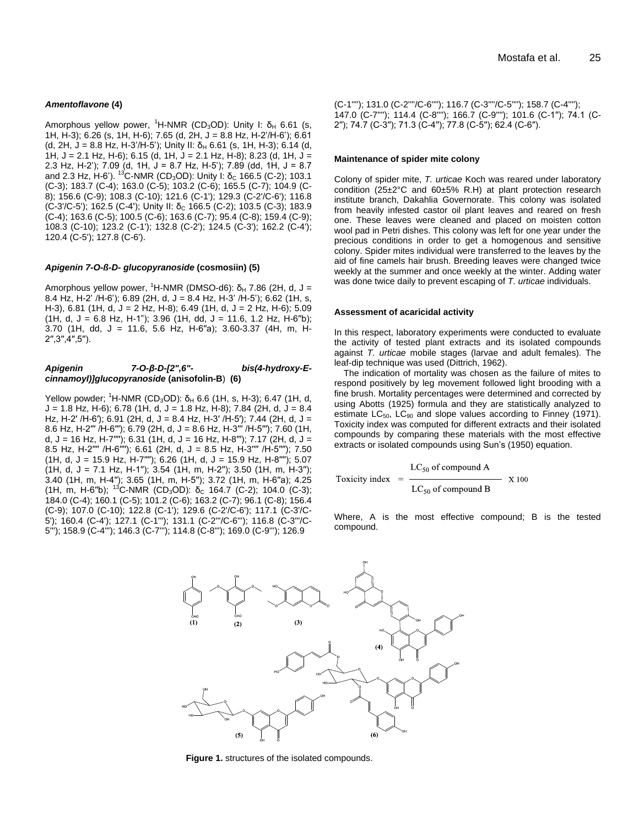#### *Amentoflavone* **(4)**

Amorphous yellow power,  ${}^{1}$ H-NMR (CD<sub>3</sub>OD): Unity I:  $\delta$ <sub>H</sub> 6.61 (s, 1H, H-3); 6.26 (s, 1H, H-6); 7.65 (d, 2H, J = 8.8 Hz, H-2'/H-6'); 6.61 (d, 2H, J = 8.8 Hz, H-3'/H-5'); Unity II:  $\delta_H$  6.61 (s, 1H, H-3); 6.14 (d, 1H, J = 2.1 Hz, H-6); 6.15 (d, 1H, J = 2.1 Hz, H-8); 8.23 (d, 1H, J = 2.3 Hz, H-2'); 7.09 (d, 1H, J = 8.7 Hz, H-5'); 7.89 (dd, 1H, J = 8.7 and 2.3 Hz, H-6'). <sup>13</sup>C-NMR (CD<sub>3</sub>OD): Unity I:  $\delta$ <sub>C</sub> 166.5 (C-2); 103.1 (C-3); 183.7 (C-4); 163.0 (C-5); 103.2 (C-6); 165.5 (C-7); 104.9 (C-8); 156.6 (C-9); 108.3 (C-10); 121.6 (C-1'); 129.3 (C-2'/C-6'); 116.8 (C-3/C-5'); 162.5 (C-4'); Unity II: δ<sub>C</sub> 166.5 (C-2); 103.5 (C-3); 183.9 (C-4); 163.6 (C-5); 100.5 (C-6); 163.6 (C-7); 95.4 (C-8); 159.4 (C-9); 108.3 (C-10); 123.2 (C-1'); 132.8 (C-2'); 124.5 (C-3'); 162.2 (C-4'); 120.4 (C-5'); 127.8 (C-6').

#### *Apigenin 7-O-ß-D- glucopyranoside* **(cosmosiin) (5)**

Amorphous yellow power, <sup>1</sup>H-NMR (DMSO-d6): δ<sub>H</sub> 7.86 (2H, d, J = 8.4 Hz, H-2' /H-6'); 6.89 (2H, d, J = 8.4 Hz, H-3' /H-5'); 6.62 (1H, s, H-3), 6.81 (1H, d, J = 2 Hz, H-8); 6.49 (1H, d, J = 2 Hz, H-6); 5.09  $(1H, d, J = 6.8 Hz, H-1")$ ; 3.96  $(1H, dd, J = 11.6, 1.2 Hz, H-6")$ ; 3.70 (1H, dd, J = 11.6, 5.6 Hz, H-6′′a); 3.60-3.37 (4H, m, H-2′′,3′′,4′′,5′′).

#### *Apigenin 7-O-β-D-[2",6"- bis(4-hydroxy-Ecinnamoyl)]glucopyranoside* **(anisofolin-B**) **(6)**

Yellow powder; <sup>1</sup>H-NMR (CD<sub>3</sub>OD): δ<sub>H</sub> 6.6 (1H, s, H-3); 6.47 (1H, d,  $J = 1.8$  Hz, H-6); 6.78 (1H, d,  $J = 1.8$  Hz, H-8); 7.84 (2H, d,  $J = 8.4$ Hz, H-2′ /H-6′); 6.91 (2H, d, J = 8.4 Hz, H-3′ /H-5′); 7.44 (2H, d, J = 8.6 Hz, H-2′′′ /H-6′′′); 6.79 (2H, d, J = 8.6 Hz, H-3′′′ /H-5′′′); 7.60 (1H, d, J = 16 Hz, H-7′′′′); 6.31 (1H, d, J = 16 Hz, H-8′′′); 7.17 (2H, d, J = 8.5 Hz, H-2′′′′ /H-6′′′′); 6.61 (2H, d, J = 8.5 Hz, H-3′′′′ /H-5′′′′); 7.50 (1H, d, J = 15.9 Hz, H-7′′′′); 6.26 (1H, d, J = 15.9 Hz, H-8′′′′); 5.07 (1H, d, J = 7.1 Hz, H-1′′); 3.54 (1H, m, H-2′′); 3.50 (1H, m, H-3′′); 3.40 (1H, m, H-4′′); 3.65 (1H, m, H-5′′); 3.72 (1H, m, H-6′′a); 4.25 (1H, m, H-6"b); <sup>13</sup>C-NMR (CD<sub>3</sub>OD): δ<sub>C</sub> 164.7 (C-2); 104.0 (C-3); 184.0 (C-4); 160.1 (C-5); 101.2 (C-6); 163.2 (C-7); 96.1 (C-8); 156.4 (C-9); 107.0 (C-10); 122.8 (C-1'); 129.6 (C-2'/C-6'); 117.1 (C-3'/C-5'); 160.4 (C-4'); 127.1 (C-1'''); 131.1 (C-2'''/C-6'''); 116.8 (C-3'''/C-5'''); 158.9 (C-4'''); 146.3 (C-7'''); 114.8 (C-8'''); 169.0 (C-9'''); 126.9

(C-1''''); 131.0 (C-2''''/C-6''''); 116.7 (C-3''''/C-5''''); 158.7 (C-4''''); 147.0 (C-7''''); 114.4 (C-8''''); 166.7 (C-9''''); 101.6 (C-1′′); 74.1 (C-2′′); 74.7 (C-3′′); 71.3 (C-4′′); 77.8 (C-5′′); 62.4 (C-6′′).

#### **Maintenance of spider mite colony**

Colony of spider mite, *T. urticae* Koch was reared under laboratory condition (25±2°C and 60±5% R.H) at plant protection research institute branch, Dakahlia Governorate. This colony was isolated from heavily infested castor oil plant leaves and reared on fresh one. These leaves were cleaned and placed on moisten cotton wool pad in Petri dishes. This colony was left for one year under the precious conditions in order to get a homogenous and sensitive colony. Spider mites individual were transferred to the leaves by the aid of fine camels hair brush. Breeding leaves were changed twice weekly at the summer and once weekly at the winter. Adding water was done twice daily to prevent escaping of *T. urticae* individuals.

#### **Assessment of acaricidal activity**

In this respect, laboratory experiments were conducted to evaluate the activity of tested plant extracts and its isolated compounds against *T. urticae* mobile stages (larvae and adult females). The leaf-dip technique was used (Dittrich, 1962).

The indication of mortality was chosen as the failure of mites to respond positively by leg movement followed light brooding with a fine brush. Mortality percentages were determined and corrected by using Abotts (1925) formula and they are statistically analyzed to estimate  $LC_{50}$ ,  $LC_{90}$  and slope values according to Finney (1971). Toxicity index was computed for different extracts and their isolated compounds by comparing these materials with the most effective extracts or isolated compounds using Sun's (1950) equation.

Toxicity index 
$$
=
$$
 
$$
\frac{LC_{50} \text{ of compound A}}{LC_{50} \text{ of compound B}} \times 100
$$

Where, A is the most effective compound; B is the tested compound.



**Figure 1.** structures of the isolated compounds.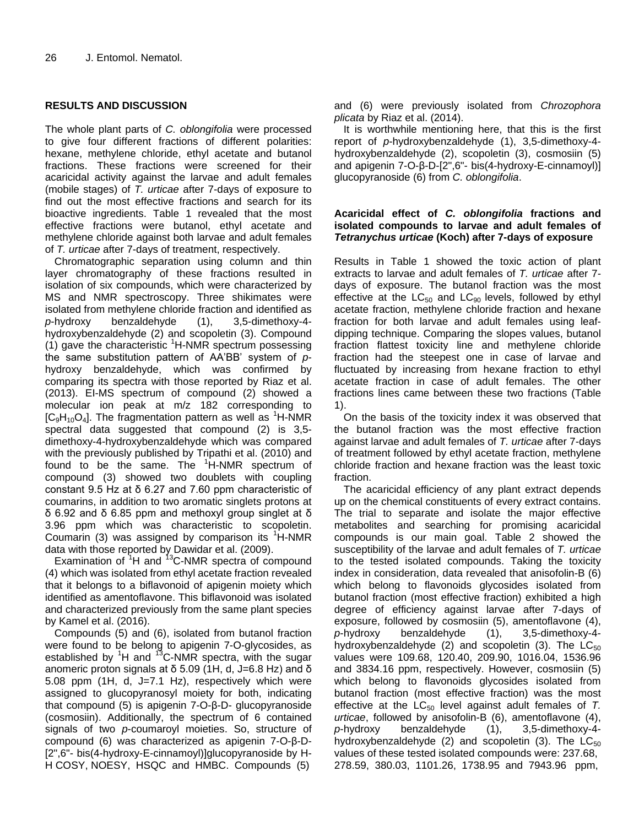# **RESULTS AND DISCUSSION**

The whole plant parts of *C. oblongifolia* were processed to give four different fractions of different polarities: hexane, methylene chloride, ethyl acetate and butanol fractions. These fractions were screened for their acaricidal activity against the larvae and adult females (mobile stages) of *T. urticae* after 7-days of exposure to find out the most effective fractions and search for its bioactive ingredients. Table 1 revealed that the most effective fractions were butanol, ethyl acetate and methylene chloride against both larvae and adult females of *T. urticae* after 7-days of treatment, respectively.

Chromatographic separation using column and thin layer chromatography of these fractions resulted in isolation of six compounds, which were characterized by MS and NMR spectroscopy. Three shikimates were isolated from methylene chloride fraction and identified as *p*-hydroxy benzaldehyde (1), 3,5-dimethoxy-4 hydroxybenzaldehyde (2) and scopoletin (3). Compound (1) gave the characteristic  ${}^{1}$ H-NMR spectrum possessing the same substitution pattern of AA'BB' system of *p*hydroxy benzaldehyde, which was confirmed by comparing its spectra with those reported by Riaz et al. (2013). EI-MS spectrum of compound (2) showed a molecular ion peak at m/z 182 corresponding to  $[C_9H_{10}O_4]$ . The fragmentation pattern as well as <sup>1</sup>H-NMR spectral data suggested that compound (2) is 3,5 dimethoxy-4-hydroxybenzaldehyde which was compared with the previously published by Tripathi et al. (2010) and found to be the same. The  $^1$ H-NMR spectrum of compound (3) showed two doublets with coupling constant 9.5 Hz at δ 6.27 and 7.60 ppm characteristic of coumarins, in addition to two aromatic singlets protons at δ 6.92 and δ 6.85 ppm and methoxyl group singlet at δ 3.96 ppm which was characteristic to scopoletin. Coumarin (3) was assigned by comparison its  ${}^{1}$ H-NMR data with those reported by Dawidar et al. (2009).

Examination of  $1H$  and  $13C$ -NMR spectra of compound (4) which was isolated from ethyl acetate fraction revealed that it belongs to a biflavonoid of apigenin moiety which identified as amentoflavone. This biflavonoid was isolated and characterized previously from the same plant species by Kamel et al. (2016).

Compounds (5) and (6), isolated from butanol fraction were found to be belong to apigenin 7-O-glycosides, as established by  $1H$  and  $13C$ -NMR spectra, with the sugar anomeric proton signals at δ 5.09 (1H, d, J=6.8 Hz) and δ 5.08 ppm (1H, d, J=7.1 Hz), respectively which were assigned to glucopyranosyl moiety for both, indicating that compound (5) is apigenin 7-O-β-D- glucopyranoside (cosmosiin). Additionally, the spectrum of 6 contained signals of two *p*-coumaroyl moieties. So, structure of compound (6) was characterized as apigenin 7-O-β-D- [2",6"- bis(4-hydroxy-E-cinnamoyl)]glucopyranoside by H-H COSY, NOESY, HSQC and HMBC. Compounds (5)

and (6) were previously isolated from *Chrozophora plicata* by Riaz et al. (2014).

It is worthwhile mentioning here, that this is the first report of *p*-hydroxybenzaldehyde (1), 3,5-dimethoxy-4 hydroxybenzaldehyde (2), scopoletin (3), cosmosiin (5) and apigenin 7-O-β-D-[2",6"- bis(4-hydroxy-E-cinnamoyl)] glucopyranoside (6) from *C. oblongifolia*.

# **Acaricidal effect of** *C. oblongifolia* **fractions and isolated compounds to larvae and adult females of**  *Tetranychus urticae* **(Koch) after 7-days of exposure**

Results in Table 1 showed the toxic action of plant extracts to larvae and adult females of *T. urticae* after 7 days of exposure. The butanol fraction was the most effective at the  $LC_{50}$  and  $LC_{90}$  levels, followed by ethyl acetate fraction, methylene chloride fraction and hexane fraction for both larvae and adult females using leafdipping technique. Comparing the slopes values, butanol fraction flattest toxicity line and methylene chloride fraction had the steepest one in case of larvae and fluctuated by increasing from hexane fraction to ethyl acetate fraction in case of adult females. The other fractions lines came between these two fractions (Table 1).

On the basis of the toxicity index it was observed that the butanol fraction was the most effective fraction against larvae and adult females of *T. urticae* after 7-days of treatment followed by ethyl acetate fraction, methylene chloride fraction and hexane fraction was the least toxic fraction.

The acaricidal efficiency of any plant extract depends up on the chemical constituents of every extract contains. The trial to separate and isolate the major effective metabolites and searching for promising acaricidal compounds is our main goal. Table 2 showed the susceptibility of the larvae and adult females of *T. urticae* to the tested isolated compounds. Taking the toxicity index in consideration, data revealed that anisofolin-B (6) which belong to flavonoids glycosides isolated from butanol fraction (most effective fraction) exhibited a high degree of efficiency against larvae after 7-days of exposure, followed by cosmosiin (5), amentoflavone (4), *p*-hydroxy benzaldehyde (1), 3,5-dimethoxy-4 hydroxybenzaldehyde (2) and scopoletin (3). The  $LC_{50}$ values were 109.68, 120.40, 209.90, 1016.04, 1536.96 and 3834.16 ppm, respectively. However, cosmosiin (5) which belong to flavonoids glycosides isolated from butanol fraction (most effective fraction) was the most effective at the LC<sub>50</sub> level against adult females of T. *urticae*, followed by anisofolin-B (6), amentoflavone (4), *p*-hydroxy benzaldehyde (1), 3,5-dimethoxy-4 hydroxybenzaldehyde (2) and scopoletin (3). The  $LC_{50}$ values of these tested isolated compounds were: 237.68, 278.59, 380.03, 1101.26, 1738.95 and 7943.96 ppm,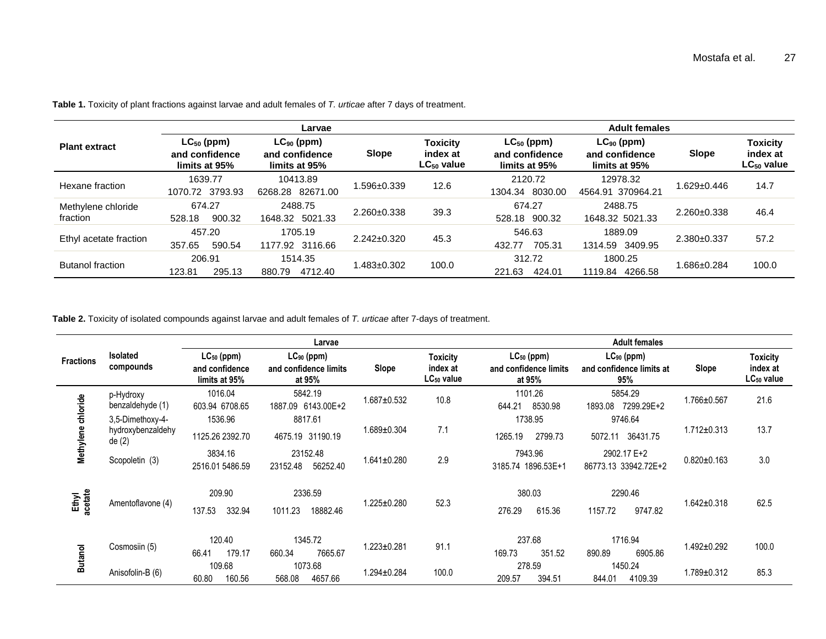|                                | Larvae                                             |                                                    |                   |                                                | <b>Adult females</b>                               |                                                    |                   |                                                |
|--------------------------------|----------------------------------------------------|----------------------------------------------------|-------------------|------------------------------------------------|----------------------------------------------------|----------------------------------------------------|-------------------|------------------------------------------------|
| <b>Plant extract</b>           | $LC_{50}$ (ppm)<br>and confidence<br>limits at 95% | $LC_{90}$ (ppm)<br>and confidence<br>limits at 95% | <b>Slope</b>      | <b>Toxicity</b><br>index at<br>$LC_{50}$ value | $LC_{50}$ (ppm)<br>and confidence<br>limits at 95% | $LC_{90}$ (ppm)<br>and confidence<br>limits at 95% | <b>Slope</b>      | <b>Toxicity</b><br>index at<br>$LC_{50}$ value |
| Hexane fraction                | 1639.77<br>1070.72 3793.93                         | 10413.89<br>6268.28 82671.00                       | .596±0.339        | 12.6                                           | 2120.72<br>1304.34 8030.00                         | 12978.32<br>4564.91 370964.21                      | $1.629 \pm 0.446$ | 14.7                                           |
| Methylene chloride<br>fraction | 674.27<br>900.32<br>528.18                         | 2488.75<br>1648.32 5021.33                         | $2.260 \pm 0.338$ | 39.3                                           | 674.27<br>528.18 900.32                            | 2488.75<br>1648.32 5021.33                         | $2.260 \pm 0.338$ | 46.4                                           |
| Ethyl acetate fraction         | 457.20<br>590.54<br>357.65                         | 1705.19<br>1177.92 3116.66                         | $2.242 \pm 0.320$ | 45.3                                           | 546.63<br>705.31<br>432.77                         | 1889.09<br>1314.59 3409.95                         | $2.380+0.337$     | 57.2                                           |
| <b>Butanol fraction</b>        | 206.91<br>295.13<br>123.81                         | 1514.35<br>4712.40<br>880.79                       | $1.483 \pm 0.302$ | 100.0                                          | 312.72<br>221.63<br>424.01                         | 1800.25<br>4266.58<br>1119.84                      | 1.686±0.284       | 100.0                                          |

**Table 1.** Toxicity of plant fractions against larvae and adult females of *T. urticae* after 7 days of treatment.

**Table 2.** Toxicity of isolated compounds against larvae and adult females of *T. urticae* after 7-days of treatment.

|                    |                                                | Larvae                                             |                                                    |                  | <b>Adult females</b>                                  |                                                    |                                                    |                   |                                                       |
|--------------------|------------------------------------------------|----------------------------------------------------|----------------------------------------------------|------------------|-------------------------------------------------------|----------------------------------------------------|----------------------------------------------------|-------------------|-------------------------------------------------------|
| <b>Fractions</b>   | <b>Isolated</b><br>compounds                   | $LC_{50}$ (ppm)<br>and confidence<br>limits at 95% | $LC_{90}$ (ppm)<br>and confidence limits<br>at 95% | Slope            | <b>Toxicity</b><br>index at<br>LC <sub>50</sub> value | $LC_{50}$ (ppm)<br>and confidence limits<br>at 95% | $LC_{90}$ (ppm)<br>and confidence limits at<br>95% | Slope             | <b>Toxicity</b><br>index at<br>LC <sub>50</sub> value |
|                    | p-Hydroxy<br>benzaldehyde (1)                  | 1016.04<br>603.94 6708.65                          | 5842.19<br>1887.09 6143.00E+2                      | 1.687±0.532      | 10.8                                                  | 1101.26<br>644.21<br>8530.98                       | 5854.29<br>7299.29E+2<br>1893.08                   | 1.766±0.567       | 21.6                                                  |
| Methylene chloride | 3,5-Dimethoxy-4-<br>hydroxybenzaldehy<br>de(2) | 1536.96<br>1125.26 2392.70                         | 8817.61<br>4675.19 31190.19                        | 1.689±0.304      | 7.1                                                   | 1738.95<br>2799.73<br>1265.19                      | 9746.64<br>36431.75<br>5072.11                     | $1.712 \pm 0.313$ | 13.7                                                  |
|                    | Scopoletin (3)                                 | 3834.16<br>2516.01 5486.59                         | 23152.48<br>56252.40<br>23152.48                   | 1.641±0.280      | 2.9                                                   | 7943.96<br>3185.74 1896.53E+1                      | 2902.17 E+2<br>86773.13 33942.72E+2                | $0.820 \pm 0.163$ | 3.0                                                   |
| Ethyl<br>acetate   | Amentoflavone (4)                              | 209.90<br>137.53<br>332.94                         | 2336.59<br>1011.23<br>18882.46                     | 1.225±0.280      | 52.3                                                  | 380.03<br>276.29<br>615.36                         | 2290.46<br>9747.82<br>1157.72                      | $1.642 \pm 0.318$ | 62.5                                                  |
| <b>Butanol</b>     | Cosmosiin (5)                                  | 120.40<br>66.41<br>179.17                          | 1345.72<br>7665.67<br>660.34                       | $.223 \pm 0.281$ | 91.1                                                  | 237.68<br>169.73<br>351.52                         | 1716.94<br>6905.86<br>890.89                       | 1.492±0.292       | 100.0                                                 |
|                    | Anisofolin-B (6)                               | 109.68<br>160.56<br>60.80                          | 1073.68<br>568.08<br>4657.66                       | $.294 \pm 0.284$ | 100.0                                                 | 278.59<br>394.51<br>209.57                         | 1450.24<br>844.01<br>4109.39                       | 1.789±0.312       | 85.3                                                  |